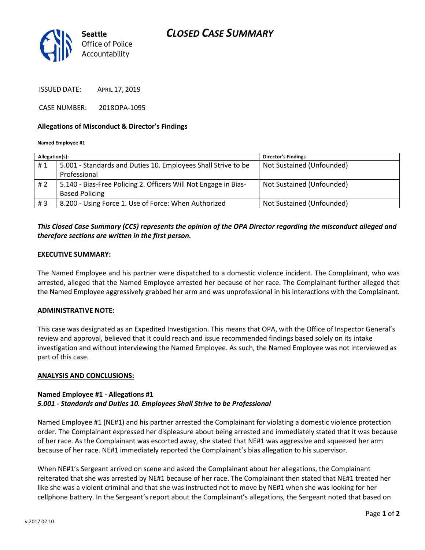

ISSUED DATE: APRIL 17, 2019

CASE NUMBER: 2018OPA-1095

### **Allegations of Misconduct & Director's Findings**

#### **Named Employee #1**

| Allegation(s): |                                                                 | <b>Director's Findings</b> |
|----------------|-----------------------------------------------------------------|----------------------------|
| #1             | 5.001 - Standards and Duties 10. Employees Shall Strive to be   | Not Sustained (Unfounded)  |
|                | Professional                                                    |                            |
| # 2            | 5.140 - Bias-Free Policing 2. Officers Will Not Engage in Bias- | Not Sustained (Unfounded)  |
|                | <b>Based Policing</b>                                           |                            |
| #3             | 8.200 - Using Force 1. Use of Force: When Authorized            | Not Sustained (Unfounded)  |
|                |                                                                 |                            |

## *This Closed Case Summary (CCS) represents the opinion of the OPA Director regarding the misconduct alleged and therefore sections are written in the first person.*

#### **EXECUTIVE SUMMARY:**

The Named Employee and his partner were dispatched to a domestic violence incident. The Complainant, who was arrested, alleged that the Named Employee arrested her because of her race. The Complainant further alleged that the Named Employee aggressively grabbed her arm and was unprofessional in his interactions with the Complainant.

#### **ADMINISTRATIVE NOTE:**

This case was designated as an Expedited Investigation. This means that OPA, with the Office of Inspector General's review and approval, believed that it could reach and issue recommended findings based solely on its intake investigation and without interviewing the Named Employee. As such, the Named Employee was not interviewed as part of this case.

#### **ANALYSIS AND CONCLUSIONS:**

## **Named Employee #1 - Allegations #1** *5.001 - Standards and Duties 10. Employees Shall Strive to be Professional*

Named Employee #1 (NE#1) and his partner arrested the Complainant for violating a domestic violence protection order. The Complainant expressed her displeasure about being arrested and immediately stated that it was because of her race. As the Complainant was escorted away, she stated that NE#1 was aggressive and squeezed her arm because of her race. NE#1 immediately reported the Complainant's bias allegation to his supervisor.

When NE#1's Sergeant arrived on scene and asked the Complainant about her allegations, the Complainant reiterated that she was arrested by NE#1 because of her race. The Complainant then stated that NE#1 treated her like she was a violent criminal and that she was instructed not to move by NE#1 when she was looking for her cellphone battery. In the Sergeant's report about the Complainant's allegations, the Sergeant noted that based on